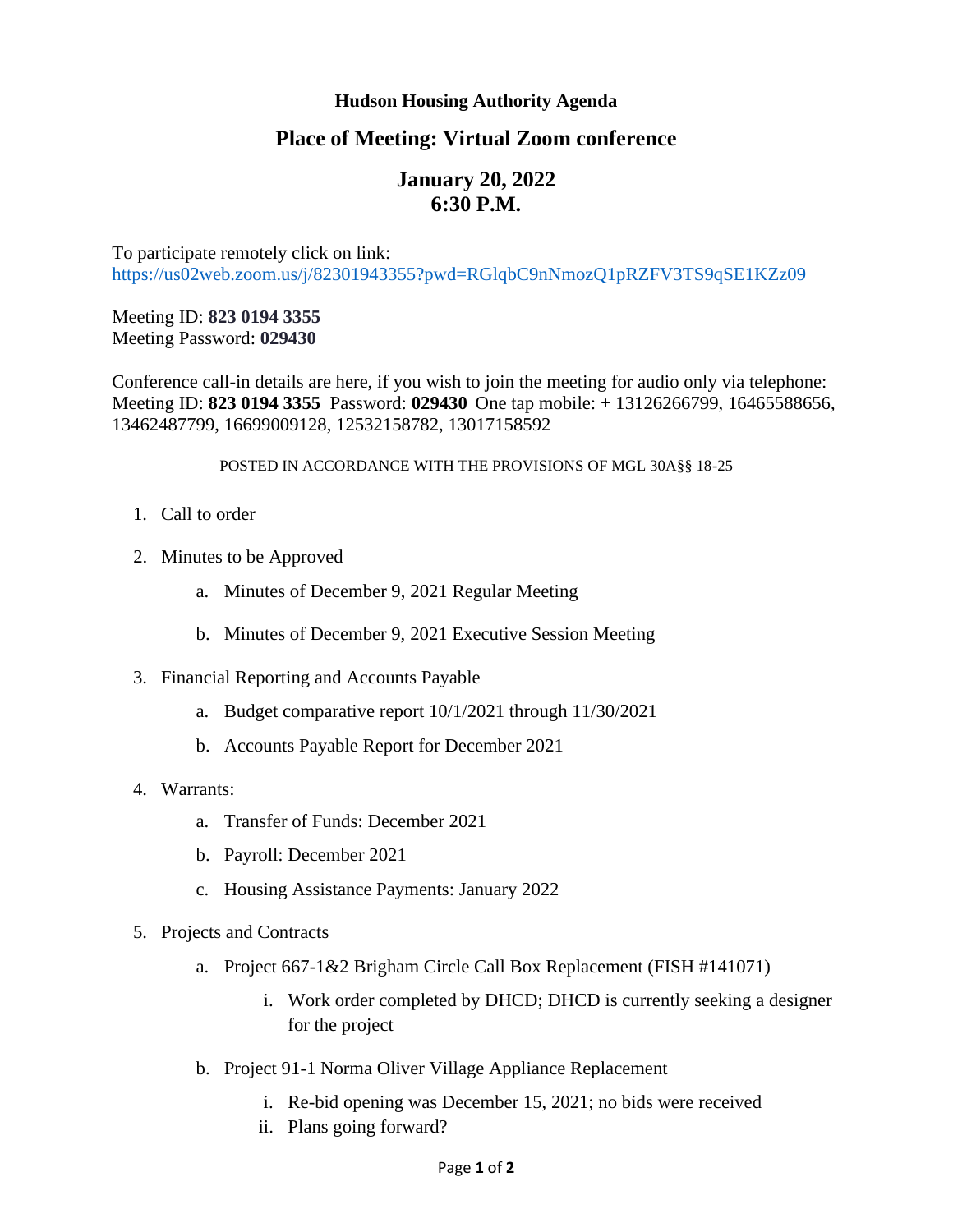## **Hudson Housing Authority Agenda**

## **Place of Meeting: Virtual Zoom conference**

## **January 20, 2022 6:30 P.M.**

To participate remotely click on link: <https://us02web.zoom.us/j/82301943355?pwd=RGlqbC9nNmozQ1pRZFV3TS9qSE1KZz09>

Meeting ID: **823 0194 3355** Meeting Password: **029430**

Conference call-in details are here, if you wish to join the meeting for audio only via telephone: Meeting ID: **823 0194 3355** Password: **029430** One tap mobile: + 13126266799, 16465588656, 13462487799, 16699009128, 12532158782, 13017158592

## POSTED IN ACCORDANCE WITH THE PROVISIONS OF MGL 30A§§ 18-25

- 1. Call to order
- 2. Minutes to be Approved
	- a. Minutes of December 9, 2021 Regular Meeting
	- b. Minutes of December 9, 2021 Executive Session Meeting
- 3. Financial Reporting and Accounts Payable
	- a. Budget comparative report 10/1/2021 through 11/30/2021
	- b. Accounts Payable Report for December 2021
- 4. Warrants:
	- a. Transfer of Funds: December 2021
	- b. Payroll: December 2021
	- c. Housing Assistance Payments: January 2022
- 5. Projects and Contracts
	- a. Project 667-1&2 Brigham Circle Call Box Replacement (FISH #141071)
		- i. Work order completed by DHCD; DHCD is currently seeking a designer for the project
	- b. Project 91-1 Norma Oliver Village Appliance Replacement
		- i. Re-bid opening was December 15, 2021; no bids were received
		- ii. Plans going forward?